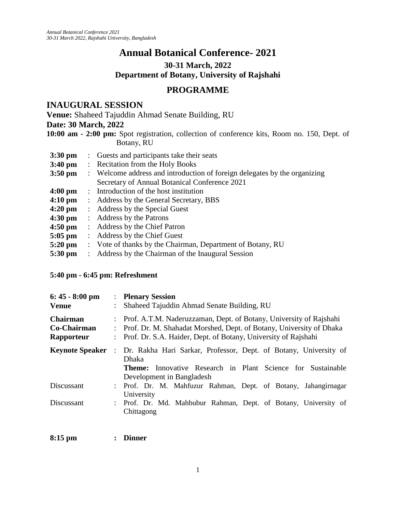# **Annual Botanical Conference- 2021**

**30-31 March, 2022** 

**Department of Botany, University of Rajshahi**

# **PROGRAMME**

## **INAUGURAL SESSION**

**Venue:** Shaheed Tajuddin Ahmad Senate Building, RU

### **Date: 30 March, 2022**

**10:00 am - 2:00 pm:** Spot registration, collection of conference kits, Room no. 150, Dept. of Botany, RU

- **3:30 pm** : Guests and participants take their seats **3:40 pm** : Recitation from the Holy Books **3:50 pm** : Welcome address and introduction of foreign delegates by the organizing Secretary of Annual Botanical Conference 2021 **4:00 pm** : Introduction of the host institution 4:10 pm : Address by the General Secretary, BBS **4:20 pm** : Address by the Special Guest **4:30 pm** : Address by the Patrons **4:50 pm** : Address by the Chief Patron **5:05 pm** : Address by the Chief Guest **5:20 pm** : Vote of thanks by the Chairman, Department of Botany, RU
- **5:30 pm** : Address by the Chairman of the Inaugural Session

### **5:40 pm - 6:45 pm: Refreshment**

| $6:45 - 8:00$ pm<br><b>Venue</b>             | $\ddot{\cdot}$       | : Plenary Session<br>Shaheed Tajuddin Ahmad Senate Building, RU                                                                                                                                             |
|----------------------------------------------|----------------------|-------------------------------------------------------------------------------------------------------------------------------------------------------------------------------------------------------------|
| <b>Chairman</b><br>Co-Chairman<br>Rapporteur |                      | Prof. A.T.M. Naderuzzaman, Dept. of Botany, University of Rajshahi<br>Prof. Dr. M. Shahadat Morshed, Dept. of Botany, University of Dhaka<br>Prof. Dr. S.A. Haider, Dept. of Botany, University of Rajshahi |
| <b>Keynote Speaker</b>                       | $\ddot{\phantom{a}}$ | Dr. Rakha Hari Sarkar, Professor, Dept. of Botany, University of<br>Dhaka<br>Innovative Research in Plant Science for Sustainable<br>Theme:<br>Development in Bangladesh                                    |
| Discussant                                   | $\ddot{\phantom{a}}$ | Prof. Dr. M. Mahfuzur Rahman, Dept. of Botany, Jahangirnagar<br>University                                                                                                                                  |
| Discussant                                   |                      | : Prof. Dr. Md. Mahbubur Rahman, Dept. of Botany, University of<br>Chittagong                                                                                                                               |

| $8:15$ pm |  | <b>Dinner</b> |
|-----------|--|---------------|
|-----------|--|---------------|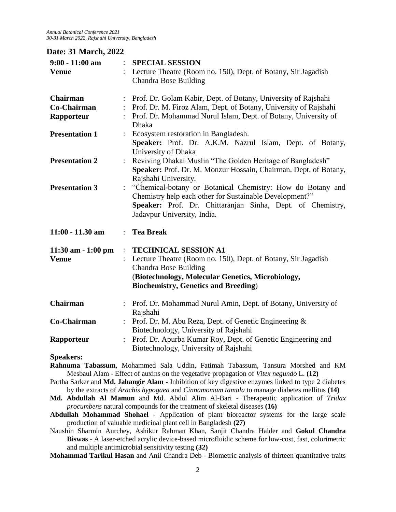*Annual Botanical Conference 2021 30-31 March 2022, Rajshahi University, Bangladesh*

### **Date: 31 March, 2022**

| $9:00 - 11:00$ am     |                           | <b>SPECIAL SESSION</b>                                                                                                                                                                                             |
|-----------------------|---------------------------|--------------------------------------------------------------------------------------------------------------------------------------------------------------------------------------------------------------------|
| <b>Venue</b>          |                           | Lecture Theatre (Room no. 150), Dept. of Botany, Sir Jagadish<br><b>Chandra Bose Building</b>                                                                                                                      |
| <b>Chairman</b>       | ÷                         | Prof. Dr. Golam Kabir, Dept. of Botany, University of Rajshahi                                                                                                                                                     |
| Co-Chairman           | $\mathbb{R}^{\mathbb{Z}}$ | Prof. Dr. M. Firoz Alam, Dept. of Botany, University of Rajshahi                                                                                                                                                   |
| Rapporteur            |                           | Prof. Dr. Mohammad Nurul Islam, Dept. of Botany, University of<br>Dhaka                                                                                                                                            |
| <b>Presentation 1</b> |                           | Ecosystem restoration in Bangladesh.<br>Speaker: Prof. Dr. A.K.M. Nazrul Islam, Dept. of Botany,<br>University of Dhaka                                                                                            |
| <b>Presentation 2</b> |                           | Reviving Dhakai Muslin "The Golden Heritage of Bangladesh"<br>Speaker: Prof. Dr. M. Monzur Hossain, Chairman. Dept. of Botany,<br>Rajshahi University.                                                             |
| <b>Presentation 3</b> |                           | "Chemical-botany or Botanical Chemistry: How do Botany and<br>Chemistry help each other for Sustainable Development?"<br>Speaker: Prof. Dr. Chittaranjan Sinha, Dept. of Chemistry,<br>Jadavpur University, India. |
| $11:00 - 11.30$ am    | $\mathbb{R}^{\mathbb{Z}}$ | <b>Tea Break</b>                                                                                                                                                                                                   |
| $11:30$ am $-1:00$ pm |                           | <b>TECHNICAL SESSION A1</b>                                                                                                                                                                                        |
| <b>Venue</b>          |                           | Lecture Theatre (Room no. 150), Dept. of Botany, Sir Jagadish<br><b>Chandra Bose Building</b>                                                                                                                      |
|                       |                           | (Biotechnology, Molecular Genetics, Microbiology,<br><b>Biochemistry, Genetics and Breeding)</b>                                                                                                                   |
| <b>Chairman</b>       |                           | Prof. Dr. Mohammad Nurul Amin, Dept. of Botany, University of<br>Rajshahi                                                                                                                                          |
| <b>Co-Chairman</b>    | $\ddot{\phantom{0}}$      | Prof. Dr. M. Abu Reza, Dept. of Genetic Engineering &<br>Biotechnology, University of Rajshahi                                                                                                                     |
| Rapporteur            | $\ddot{\cdot}$            | Prof. Dr. Apurba Kumar Roy, Dept. of Genetic Engineering and<br>Biotechnology, University of Rajshahi                                                                                                              |
| <b>Speakers:</b>      |                           |                                                                                                                                                                                                                    |
|                       |                           | Rahnuma Tabassum, Mohammed Sala Uddin, Fatimah Tabassum, Tansura Morshed and KM<br>Mesbaul Alam - Effect of auxins on the vegetative propagation of Vitex negundo L. (12)                                          |

Partha Sarker and **Md. Jahangir Alam -** Inhibition of key digestive enzymes linked to type 2 diabetes by the extracts of *Arachis hypogaea* and *Cinnamomum tamala* to manage diabetes mellitus **(14)**

- **Md. Abdullah Al Mamun** and Md. Abdul Alim Al-Bari Therapeutic application of *Tridax procumbens* natural compounds for the treatment of skeletal diseases **(16)**
- **Abdullah Mohammad Shohael -** Application of plant bioreactor systems for the large scale production of valuable medicinal plant cell in Bangladesh **(27)**

Naushin Sharmin Aurchey, Ashikur Rahman Khan, Sanjit Chandra Halder and **Gokul Chandra Biswas** - A laser-etched acrylic device-based microfluidic scheme for low-cost, fast, colorimetric and multiple antimicrobial sensitivity testing **(32)**

**Mohammad Tarikul Hasan** and Anil Chandra Deb - Biometric analysis of thirteen quantitative traits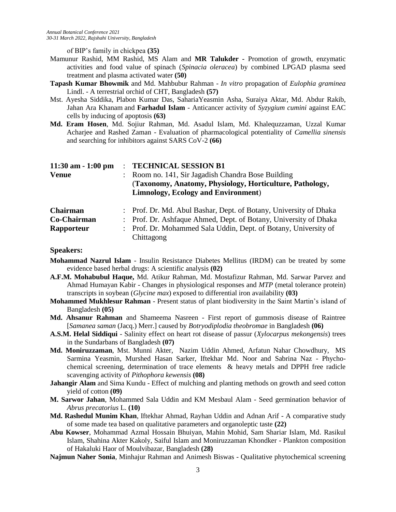of BIP's family in chickpea **(35)**

- Mamunur Rashid, MM Rashid, MS Alam and **MR Talukder -** Promotion of growth, enzymatic activities and food value of spinach (*Spinacia oleracea*) by combined LPGAD plasma seed treatment and plasma activated water **(50)**
- **Tapash Kumar Bhowmik** and Md. Mahbubur Rahman *In vitro* propagation of *Eulophia graminea*  Lindl. - A terrestrial orchid of CHT, Bangladesh **(57)**
- Mst. Ayesha Siddika, Plabon Kumar Das, SahariaYeasmin Asha, Suraiya Aktar, Md. Abdur Rakib, Jahan Ara Khanam and **Farhadul Islam** - Anticancer activity of *Syzygium cumini* against EAC cells by inducing of apoptosis **(63)**
- **Md. Eram Hosen**, Md. Sojiur Rahman, Md. Asadul Islam, Md. Khalequzzaman, Uzzal Kumar Acharjee and Rashed Zaman - Evaluation of pharmacological potentiality of *Camellia sinensis* and searching for inhibitors against SARS CoV-2 **(66)**

| $11:30$ am $-1:00$ pm | <b>TECHNICAL SESSION B1</b>                                       |  |
|-----------------------|-------------------------------------------------------------------|--|
| <b>Venue</b>          | : Room no. 141, Sir Jagadish Chandra Bose Building                |  |
|                       | (Taxonomy, Anatomy, Physiology, Horticulture, Pathology,          |  |
|                       | <b>Limnology, Ecology and Environment)</b>                        |  |
| Chairman              | : Prof. Dr. Md. Abul Bashar, Dept. of Botany, University of Dhaka |  |
| Co-Chairman           | : Prof. Dr. Ashfaque Ahmed, Dept. of Botany, University of Dhaka  |  |
| <b>Rapporteur</b>     | : Prof. Dr. Mohammed Sala Uddin, Dept. of Botany, University of   |  |
|                       | Chittagong                                                        |  |

#### **Speakers:**

- **Mohammad Nazrul Islam** Insulin Resistance Diabetes Mellitus (IRDM) can be treated by some evidence based herbal drugs: A scientific analysis **(02)**
- **A.F.M. Mohabubul Haque,** Md. Atikur Rahman, Md. Mostafizur Rahman, Md. Sarwar Parvez and Ahmad Humayan Kabir - Changes in physiological responses and *MTP* (metal tolerance protein) transcripts in soybean (*Glycine max*) exposed to differential iron availability **(03)**
- **Mohammed Mukhlesur Rahman**  Present status of plant biodiversity in the Saint Martin's island of Bangladesh **(05)**
- **Md. Ahsanur Rahman** and Shameema Nasreen First report of gummosis disease of Raintree [*Samanea saman* (Jacq.) Merr.] caused by *Botryodiplodia theobromae* in Bangladesh **(06)**
- **A.S.M. Helal Siddiqui**  Salinity effect on heart rot disease of passur (*Xylocarpus mekongensis*) trees in the Sundarbans of Bangladesh **(07)**
- **Md. Moniruzzaman**, Mst. Munni Akter, Nazim Uddin Ahmed, Arfatun Nahar Chowdhury, MS Sarmina Yeasmin, Murshed Hasan Sarker, Iftekhar Md. Noor and Sabrina Naz - Phychochemical screening, determination of trace elements & heavy metals and DPPH free radicle scavenging activity of *Pithophora kewensis* **(08)**
- **Jahangir Alam** and Sima Kundu Effect of mulching and planting methods on growth and seed cotton yield of cotton **(09)**
- **M. Sarwor Jahan**, Mohammed Sala Uddin and KM Mesbaul Alam Seed germination behavior of *Abrus precatorius* L. **(10)**
- **Md. Rashedul Munim Khan**, Iftekhar Ahmad, Rayhan Uddin and Adnan Arif A comparative study of some made tea based on qualitative parameters and organoleptic taste **(22)**
- **Abu Kowser**, Mohammad Azmal Hossain Bhuiyan, Mahin Mohid, Sam Shariar Islam, Md. Rasikul Islam, Shahina Akter Kakoly, Saiful Islam and Moniruzzaman Khondker - Plankton composition of Hakaluki Haor of Moulvibazar, Bangladesh **(28)**
- **Najmun Naher Sonia**, Minhajur Rahman and [Animesh Biswas](https://cu.ac.bd/public_profile/index.php?ein=4954) Qualitative phytochemical screening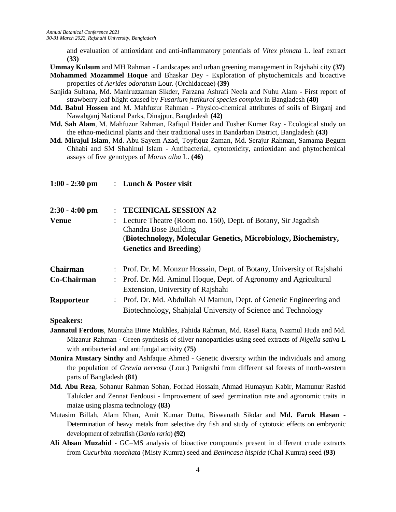and evaluation of antioxidant and anti-inflammatory potentials of *Vitex pinnata* L. leaf extract **(33)**

**Ummay Kulsum** and MH Rahman - Landscapes and urban greening management in Rajshahi city **(37)**

**Mohammed Mozammel Hoque** and Bhaskar Dey - Exploration of phytochemicals and bioactive properties of *Aerides odoratum* Lour. (Orchidaceae) **(39)**

- Sanjida Sultana, Md. Maniruzzaman Sikder, Farzana Ashrafi Neela and Nuhu Alam First report of strawberry leaf blight caused by *Fusarium fuzikuroi species complex* in Bangladesh **(40)**
- **Md. Babul Hossen** and M. Mahfuzur Rahman Physico-chemical attributes of soils of Birganj and Nawabganj National Parks, Dinajpur, Bangladesh **(42)**
- **Md. Sah Alam**, M. Mahfuzur Rahman, Rafiqul Haider and Tusher Kumer Ray Ecological study on the ethno-medicinal plants and their traditional uses in Bandarban District, Bangladesh **(43)**
- **Md. Mirajul Islam**, Md. Abu Sayem Azad, Toyfiquz Zaman, Md. Serajur Rahman, Samama Begum Chhabi and SM Shahinul Islam - Antibacterial, cytotoxicity, antioxidant and phytochemical assays of five genotypes of *Morus alba* L. **(46)**

| $1:00 - 2:30$ pm | : Lunch $&$ Poster visit                                                               |
|------------------|----------------------------------------------------------------------------------------|
| $2:30 - 4:00$ pm | <b>TECHNICAL SESSION A2</b>                                                            |
| <b>Venue</b>     | Lecture Theatre (Room no. 150), Dept. of Botany, Sir Jagadish<br>Chandra Bose Building |
|                  | (Biotechnology, Molecular Genetics, Microbiology, Biochemistry,                        |
|                  | <b>Genetics and Breeding</b> )                                                         |
| <b>Chairman</b>  | : Prof. Dr. M. Monzur Hossain, Dept. of Botany, University of Rajshahi                 |
| Co-Chairman      | Prof. Dr. Md. Aminul Hoque, Dept. of Agronomy and Agricultural                         |
|                  | Extension, University of Rajshahi                                                      |
| Rapporteur       | : Prof. Dr. Md. Abdullah Al Mamun, Dept. of Genetic Engineering and                    |
|                  | Biotechnology, Shahjalal University of Science and Technology                          |
| <b>Speakers:</b> |                                                                                        |

- **Jannatul Ferdous**, Muntaha Binte Mukhles, Fahida Rahman, Md. Rasel Rana, Nazmul Huda and Md. Mizanur Rahman - Green synthesis of silver nanoparticles using seed extracts of *Nigella sativa* L with antibacterial and antifungal activity **(75)**
- **Monira Mustary Sinthy** and Ashfaque Ahmed Genetic diversity within the individuals and among the population of *Grewia nervosa* (Lour.) Panigrahi from different sal forests of north-western parts of Bangladesh **(81)**
- **Md. Abu Reza**, Sohanur Rahman Sohan, Forhad Hossain, Ahmad Humayun Kabir, Mamunur Rashid Talukder and Zennat Ferdousi - Improvement of seed germination rate and agronomic traits in maize using plasma technology **(83)**
- Mutasim Billah, Alam Khan, Amit Kumar Dutta, Biswanath Sikdar and **Md. Faruk Hasan**  Determination of heavy metals from selective dry fish and study of cytotoxic effects on embryonic development of zebrafish (*Danio rario*) **(92)**
- **Ali Ahsan Muzahid**  GC–MS analysis of bioactive compounds present in different crude extracts from *Cucurbita moschata* (Misty Kumra) seed and *Benincasa hispida* (Chal Kumra) seed **(93)**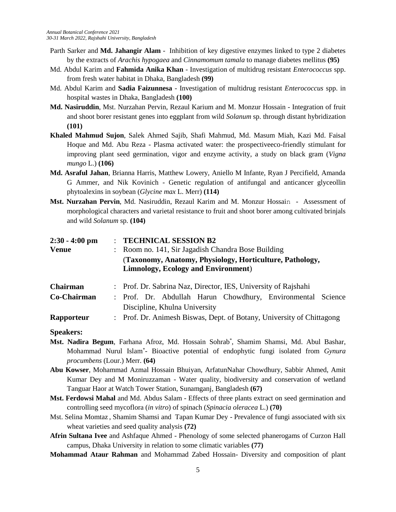- Parth Sarker and **Md. Jahangir Alam** Inhibition of key digestive enzymes linked to type 2 diabetes by the extracts of *Arachis hypogaea* and *Cinnamomum tamala* to manage diabetes mellitus **(95)**
- Md. Abdul Karim and **Fahmida Anika Khan** Investigation of multidrug resistant *Enterococcus* spp. from fresh water habitat in Dhaka, Bangladesh **(99)**
- Md. Abdul Karim and **Sadia Faizunnesa** Investigation of multidrug resistant *Enterococcus* spp. in hospital wastes in Dhaka, Bangladesh **(100)**
- **Md. Nasiruddin**, Mst. Nurzahan Pervin, Rezaul Karium and M. Monzur Hossain Integration of fruit and shoot borer resistant genes into eggplant from wild *Solanum* sp. through distant hybridization **(101)**
- **Khaled Mahmud Sujon**, Salek Ahmed Sajib, Shafi Mahmud, Md. Masum Miah, Kazi Md. Faisal Hoque and Md. Abu Reza - Plasma activated water: the prospectiveeco-friendly stimulant for improving plant seed germination, vigor and enzyme activity, a study on black gram (*Vigna mungo* L.) **(106)**
- **Md. Asraful Jahan**, Brianna Harris, Matthew Lowery, Aniello M Infante, Ryan J Percifield, Amanda G Ammer, and Nik Kovinich - Genetic regulation of antifungal and anticancer glyceollin phytoalexins in soybean (*Glycine max* L. Merr) **(114)**
- **Mst. Nurzahan Pervin**, Md. Nasiruddin, Rezaul Karim and M. Monzur Hossain Assessment of morphological characters and varietal resistance to fruit and shoot borer among cultivated brinjals and wild *Solanum* sp. **(104)**

| $2:30 - 4:00$ pm | <b>TECHNICAL SESSION B2</b>                                                                             |
|------------------|---------------------------------------------------------------------------------------------------------|
| <b>Venue</b>     | Room no. 141, Sir Jagadish Chandra Bose Building<br>$\mathcal{L}$                                       |
|                  | (Taxonomy, Anatomy, Physiology, Horticulture, Pathology,<br><b>Limnology, Ecology and Environment</b> ) |
| Chairman         | : Prof. Dr. Sabrina Naz, Director, IES, University of Rajshahi                                          |
| Co-Chairman      | : Prof. Dr. Abdullah Harun Chowdhury, Environmental Science<br>Discipline, Khulna University            |
| Rapporteur       | : Prof. Dr. Animesh Biswas, Dept. of Botany, University of Chittagong                                   |

#### **Speakers:**

- **Mst. Nadira Begum**, Farhana Afroz, Md. Hossain Sohrab\* , Shamim Shamsi, Md. Abul Bashar, Mohammad Nurul Islam\* - Bioactive potential of endophytic fungi isolated from *Gynura procumbens* (Lour.) Merr. **(64)**
- **Abu Kowser**, Mohammad Azmal Hossain Bhuiyan, ArfatunNahar Chowdhury, Sabbir Ahmed, Amit Kumar Dey and M Moniruzzaman - Water quality, biodiversity and conservation of wetland Tanguar Haor at Watch Tower Station, Sunamganj, Bangladesh **(67)**
- **Mst. Ferdowsi Mahal** and Md. Abdus Salam Effects of three plants extract on seed germination and controlling seed mycoflora (*in vitro*) of spinach (*Spinacia oleracea* L.) **(70)**
- Mst. Selina Momtaz , Shamim Shamsi and Tapan Kumar Dey Prevalence of fungi associated with six wheat varieties and seed quality analysis **(72)**
- **Afrin Sultana Ivee** and Ashfaque Ahmed Phenology of some selected phanerogams of Curzon Hall campus, Dhaka University in relation to some climatic variables **(77)**
- **Mohammad Ataur Rahman** and Mohammad Zabed Hossain- Diversity and composition of plant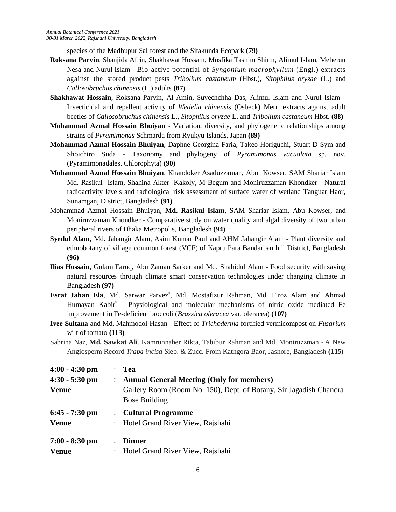species of the Madhupur Sal forest and the Sitakunda Ecopark **(79)**

- **Roksana Parvin**, Shanjida Afrin, Shakhawat Hossain, Musfika Tasnim Shirin, Alimul Islam, Meherun Nesa and Nurul Islam - Bio-active potential of *Syngonium macrophyllum* (Engl.) extracts against the stored product pests *Tribolium castaneum* (Hbst.), *Sitophilus oryzae* (L.) and *Callosobruchus chinensis* (L.) adults **(87)**
- **Shakhawat Hossain**, Roksana Parvin, Al-Amin, Suvechchha Das, Alimul Islam and Nurul Islam Insecticidal and repellent activity of *Wedelia chinensis* (Osbeck) Merr. extracts against adult beetles of *Callosobruchus chinensis* L., *Sitophilus oryzae* L. and *Tribolium castaneum* Hbst. **(88)**
- **Mohammad Azmal Hossain Bhuiyan**  Variation, diversity, and phylogenetic relationships among strains of *Pyramimonas* Schmarda from Ryukyu Islands, Japan **(89)**
- **Mohammad Azmal Hossain Bhuiyan**, Daphne Georgina Faria, Takeo Horiguchi, Stuart D Sym and Shoichiro Suda - Taxonomy and phylogeny of *Pyramimonas vacuolata* sp. nov. (Pyramimonadales, Chlorophyta) **(90)**
- **Mohammad Azmal Hossain Bhuiyan**, Khandoker Asaduzzaman, Abu Kowser, SAM Shariar Islam Md. Rasikul Islam, Shahina Akter Kakoly, M Begum and Moniruzzaman Khondker - Natural radioactivity levels and radiological risk assessment of surface water of wetland Tanguar Haor, Sunamganj District, Bangladesh **(91)**
- Mohammad Azmal Hossain Bhuiyan, **Md. Rasikul Islam**, SAM Shariar Islam, Abu Kowser, and Moniruzzaman Khondker - Comparative study on water quality and algal diversity of two urban peripheral rivers of Dhaka Metropolis, Bangladesh **(94)**
- **Syedul Alam**, Md. Jahangir Alam, Asim Kumar Paul and AHM Jahangir Alam Plant diversity and ethnobotany of village common forest (VCF) of Kapru Para Bandarban hill District, Bangladesh **(96)**
- **Ilias Hossain**, Golam Faruq, Abu Zaman Sarker and Md. Shahidul Alam Food security with saving natural resources through climate smart conservation technologies under changing climate in Bangladesh **(97)**
- **Esrat Jahan Ela**, Md. Sarwar Parvez\* , Md. Mostafizur Rahman, Md. Firoz Alam and Ahmad Humayan Kabir\* - Physiological and molecular mechanisms of nitric oxide mediated Fe improvement in Fe-deficient broccoli (*Brassica oleracea* var. oleracea) **(107)**
- **Ivee Sultana** and Md. Mahmodol Hasan Effect of *Trichoderma* fortified vermicompost on *Fusarium*  wilt of tomato **(113)**
- Sabrina Naz, **Md. Sawkat Ali**, Kamrunnaher Rikta, Tabibur Rahman and Md. Moniruzzman A New Angiosperm Record *Trapa incisa* Sieb. & Zucc. From Kathgora Baor, Jashore, Bangladesh **(115)**

| $4:00 - 4:30$ pm | <b>Tea</b>                                                                                      |
|------------------|-------------------------------------------------------------------------------------------------|
| $4:30 - 5:30$ pm | <b>Annual General Meeting (Only for members)</b>                                                |
| <b>Venue</b>     | Gallery Room (Room No. 150), Dept. of Botany, Sir Jagadish Chandra<br>$\mathbb{R}^{\mathbb{Z}}$ |
|                  | <b>Bose Building</b>                                                                            |
| $6:45 - 7:30$ pm | <b>Cultural Programme</b>                                                                       |
| <b>Venue</b>     | Hotel Grand River View, Rajshahi<br>$\mathbb{R}^{\mathbb{Z}}$                                   |
| $7:00 - 8:30$ pm | <b>Dinner</b>                                                                                   |
| <b>Venue</b>     | : Hotel Grand River View, Rajshahi                                                              |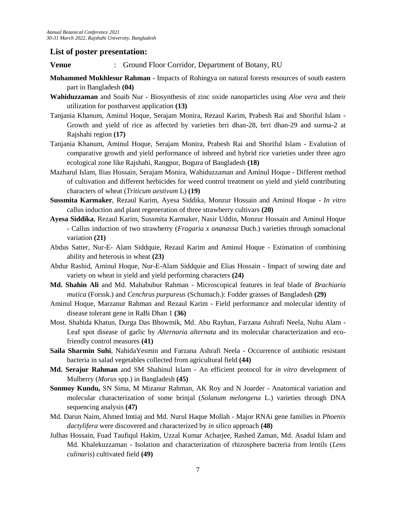### **List of poster presentation:**

- **Venue** : Ground Floor Corridor, Department of Botany, RU
- **Mohammed Mukhlesur Rahman** Impacts of Rohingya on natural forests resources of south eastern part in Bangladesh **(04)**
- **Wahiduzzaman** and Soaib Nur Biosynthesis of zinc oxide nanoparticles using *Aloe vera* and their utilization for postharvest application **(13)**
- Tanjania Khanum, Aminul Hoque, Serajam Monira, Rezaul Karim, Prabesh Rai and Shoriful Islam Growth and yield of rice as affected by varieties brri dhan-28, brri dhan-29 and surma-2 at Rajshahi region **(17)**
- Tanjania Khanum, Aminul Hoque, Serajam Monira, Prabesh Rai and Shoriful Islam Evalution of comparative growth and yield performance of inbreed and hybrid rice varieties under three agro ecological zone like Rajshahi, Rangpur, Bogura of Bangladesh **(18)**
- Mazharul Islam, Ilias Hossain, Serajam Monira, Wahiduzzaman and Aminul Hoque Different method of cultivation and different herbicides for weed control treatment on yield and yield contributing characters of wheat (*Triticum aestivum* L) **(19)**
- **Sussmita Karmaker**, Rezaul Karim, Ayesa Siddika, Monzur Hossain and Aminul Hoque *In vitro* callus induction and plant regeneration of three strawberry cultivars **(20)**
- **Ayesa Siddika**, Rezaul Karim, Sussmita Karmaker, Nasir Uddin, Monzur Hossain and Aminul Hoque - Callus induction of two strawberry (*Fragaria x ananassa* Duch.) varieties through somaclonal variation **(21)**
- Abdus Satter, Nur-E- Alam Siddquie, Rezaul Karim and Aminul Hoque Estimation of combining ability and heterosis in wheat **(23)**
- Abdur Rashid, Aminul Hoque, Nur-E-Alam Siddquie and Elias Hossain Impact of sowing date and variety on wheat in yield and yield performing characters **(24)**
- **Md. Shahin Ali** and Md. Mahabubur Rahman Microscopical features in leaf blade of *Brachiaria mutica* (Forssk.) and *Cenchrus purpureus* (Schumach.): Fodder grasses of Bangladesh **(29)**
- Aminul Hoque, Marzanur Rahman and Rezaul Karim Field performance and molecular identity of disease tolerant gene in RaBi Dhan 1 **(36)**
- Most. Shahida Khatun, Durga Das Bhowmik, Md. Abu Rayhan, Farzana Ashrafi Neela, Nuhu Alam Leaf spot disease of garlic by *Alternaria alternata* and its molecular characterization and ecofriendly control measures **(41)**
- **Saila Sharmin Suhi**, NahidaYesmin and Farzana Ashrafi Neela Occurrence of antibiotic resistant bacteria in salad vegetables collected from agricultural field **(44)**
- **Md. Serajur Rahman** and SM Shahinul Islam An efficient protocol for *in vitro* development of Mulberry (*Morus* spp.) in Bangladesh **(45)**
- **Sonmoy Kundu,** SN Sima, M Mizanur Rahman, AK Roy and N Joarder Anatomical variation and molecular characterization of some brinjal (*Solanum melongena* L.) varieties through DNA sequencing analysis **(47)**
- Md. Darun Naim, Ahmed Imtiaj and Md. Nurul Haque Mollah Major RNAi gene families in *Phoenix dactylifera* were discovered and characterized by *in silico* approach **(48)**
- Julhas Hossain, Fuad Taufiqul Hakim, Uzzal Kumar Acharjee, Rashed Zaman, Md. Asadul Islam and Md. Khalekuzzaman - Isolation and characterization of rhizosphere bacteria from lentils (*Lens culinaris*) cultivated field **(49)**